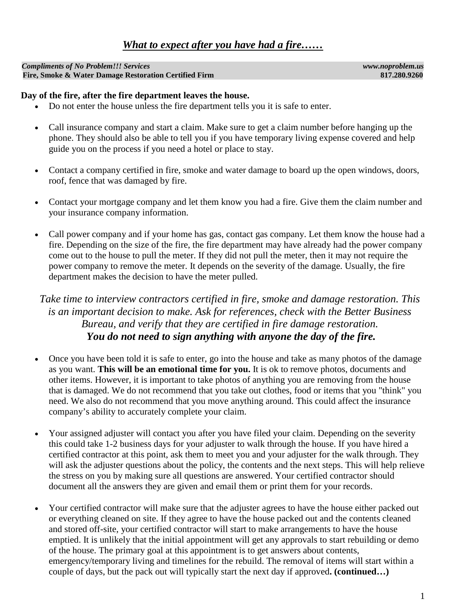## *What to expect after you have had a fire……*

*Compliments of No Problem!!! Services www.noproblem.us* Fire, Smoke & Water Damage Restoration Certified Firm

## **Day of the fire, after the fire department leaves the house.**

- Do not enter the house unless the fire department tells you it is safe to enter.
- Call insurance company and start a claim. Make sure to get a claim number before hanging up the phone. They should also be able to tell you if you have temporary living expense covered and help guide you on the process if you need a hotel or place to stay.
- Contact a company certified in fire, smoke and water damage to board up the open windows, doors, roof, fence that was damaged by fire.
- Contact your mortgage company and let them know you had a fire. Give them the claim number and your insurance company information.
- Call power company and if your home has gas, contact gas company. Let them know the house had a fire. Depending on the size of the fire, the fire department may have already had the power company come out to the house to pull the meter. If they did not pull the meter, then it may not require the power company to remove the meter. It depends on the severity of the damage. Usually, the fire department makes the decision to have the meter pulled.

## *Take time to interview contractors certified in fire, smoke and damage restoration. This is an important decision to make. Ask for references, check with the Better Business Bureau, and verify that they are certified in fire damage restoration. You do not need to sign anything with anyone the day of the fire.*

- Once you have been told it is safe to enter, go into the house and take as many photos of the damage as you want. **This will be an emotional time for you.** It is ok to remove photos, documents and other items. However, it is important to take photos of anything you are removing from the house that is damaged. We do not recommend that you take out clothes, food or items that you "think" you need. We also do not recommend that you move anything around. This could affect the insurance company's ability to accurately complete your claim.
- Your assigned adjuster will contact you after you have filed your claim. Depending on the severity this could take 1-2 business days for your adjuster to walk through the house. If you have hired a certified contractor at this point, ask them to meet you and your adjuster for the walk through. They will ask the adjuster questions about the policy, the contents and the next steps. This will help relieve the stress on you by making sure all questions are answered. Your certified contractor should document all the answers they are given and email them or print them for your records.
- Your certified contractor will make sure that the adjuster agrees to have the house either packed out or everything cleaned on site. If they agree to have the house packed out and the contents cleaned and stored off-site, your certified contractor will start to make arrangements to have the house emptied. It is unlikely that the initial appointment will get any approvals to start rebuilding or demo of the house. The primary goal at this appointment is to get answers about contents, emergency/temporary living and timelines for the rebuild. The removal of items will start within a couple of days, but the pack out will typically start the next day if approved**. (continued…)**